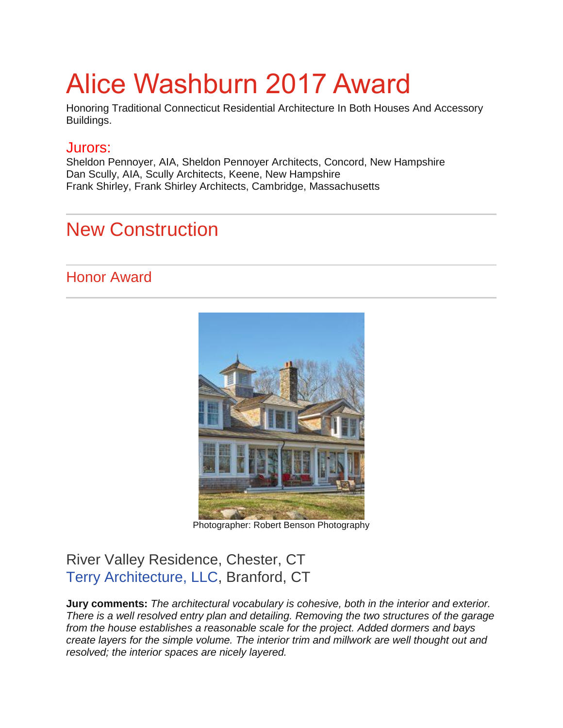# Alice Washburn 2017 Award

Honoring Traditional Connecticut Residential Architecture In Both Houses And Accessory Buildings.

#### Jurors:

Sheldon Pennoyer, AIA, Sheldon Pennoyer Architects, Concord, New Hampshire Dan Scully, AIA, Scully Architects, Keene, New Hampshire Frank Shirley, Frank Shirley Architects, Cambridge, Massachusetts

# New Construction

Honor Award



Photographer: Robert Benson Photography

## River Valley Residence, Chester, CT [Terry Architecture, LLC,](http://www.terryarchitecture.com/) Branford, CT

**Jury comments:** *The architectural vocabulary is cohesive, both in the interior and exterior. There is a well resolved entry plan and detailing. Removing the two structures of the garage from the house establishes a reasonable scale for the project. Added dormers and bays create layers for the simple volume. The interior trim and millwork are well thought out and resolved; the interior spaces are nicely layered.*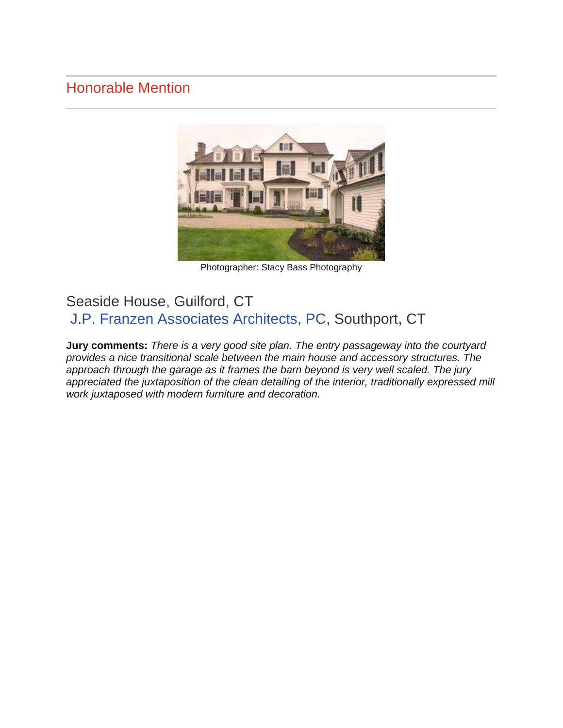#### Honorable Mention



Photographer: Stacy Bass Photography

#### Seaside House, Guilford, CT [J.P. Franzen Associates Architects, PC,](http://www.franzenarchitects.com/) Southport, CT

**Jury comments:** *There is a very good site plan. The entry passageway into the courtyard provides a nice transitional scale between the main house and accessory structures. The approach through the garage as it frames the barn beyond is very well scaled. The jury appreciated the juxtaposition of the clean detailing of the interior, traditionally expressed mill work juxtaposed with modern furniture and decoration.*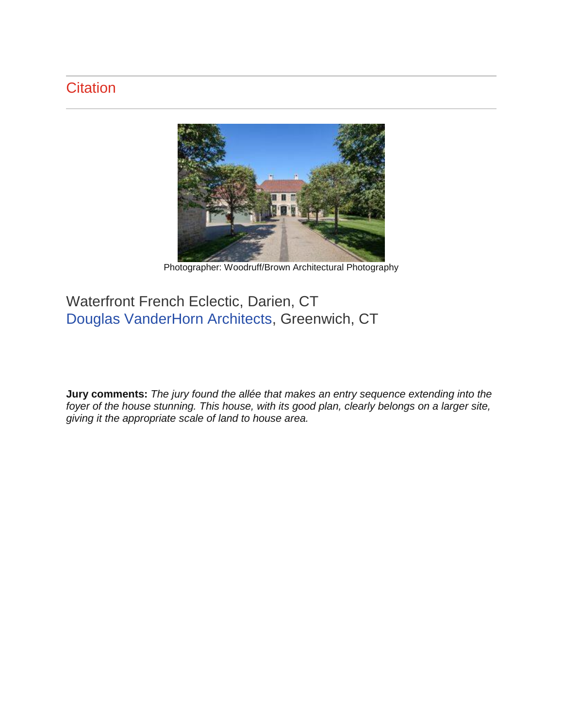# **Citation**



Photographer: Woodruff/Brown Architectural Photography

## Waterfront French Eclectic, Darien, CT [Douglas VanderHorn Architects,](http://www.vanderhornarchitects.com/) Greenwich, CT

**Jury comments:** *The jury found the allée that makes an entry sequence extending into the foyer of the house stunning. This house, with its good plan, clearly belongs on a larger site, giving it the appropriate scale of land to house area.*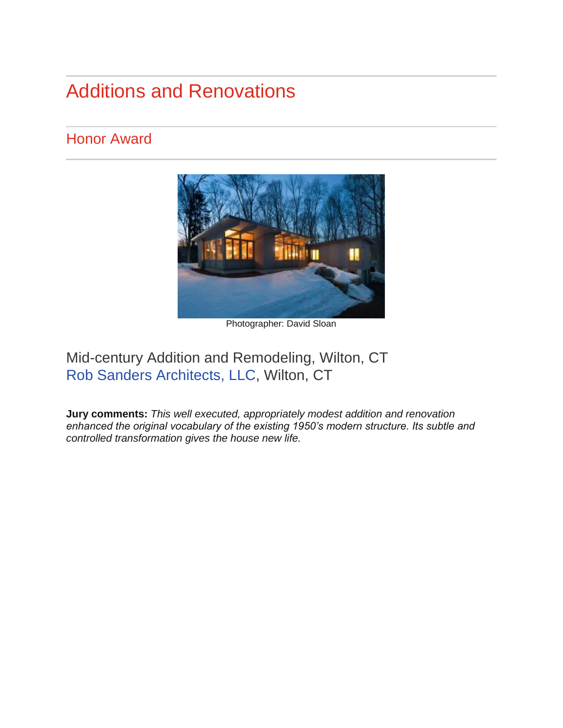# Additions and Renovations

#### Honor Award



Photographer: David Sloan

## Mid-century Addition and Remodeling, Wilton, CT [Rob Sanders Architects, LLC,](http://www.robsandersarchitects.com/) Wilton, CT

**Jury comments:** *This well executed, appropriately modest addition and renovation enhanced the original vocabulary of the existing 1950's modern structure. Its subtle and controlled transformation gives the house new life.*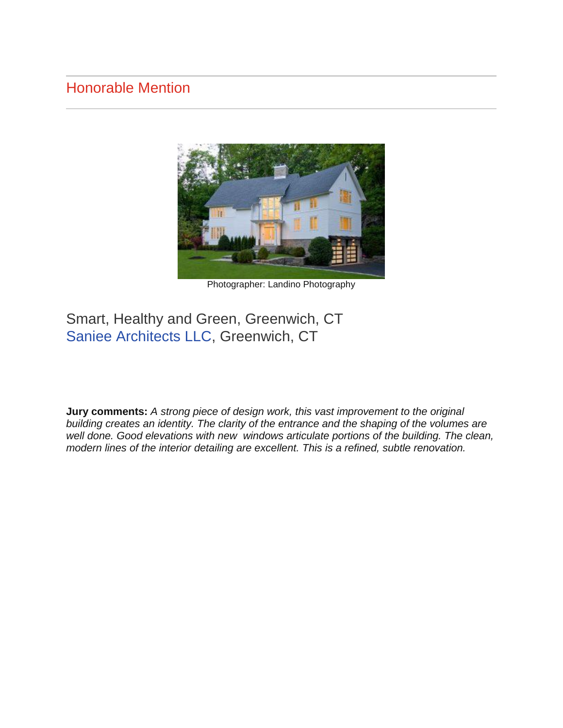#### Honorable Mention



Photographer: Landino Photography

#### Smart, Healthy and Green, Greenwich, CT [Saniee Architects LLC,](http://www.sanieearchitects.com/) Greenwich, CT

**Jury comments:** *A strong piece of design work, this vast improvement to the original building creates an identity. The clarity of the entrance and the shaping of the volumes are well done. Good elevations with new windows articulate portions of the building. The clean, modern lines of the interior detailing are excellent. This is a refined, subtle renovation.*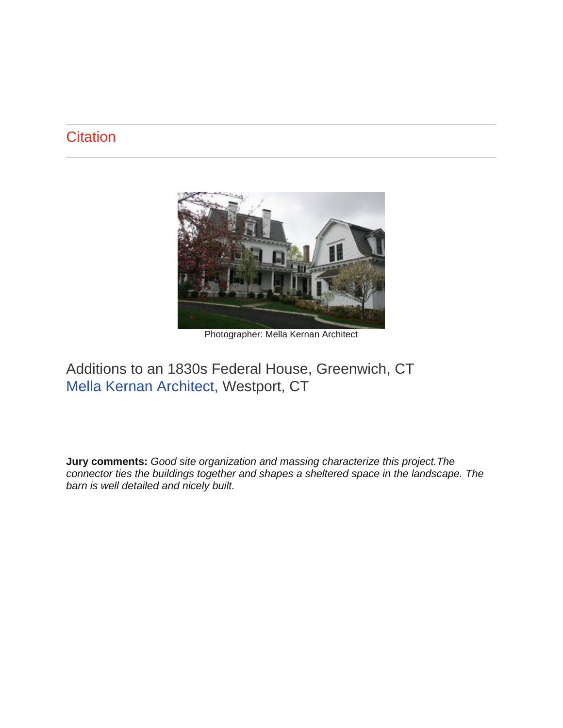#### **Citation**



Photographer: Mella Kernan Architect

#### Additions to an 1830s Federal House, Greenwich, CT [Mella Kernan Architect,](http://www.mellakernanarchitects.com/) Westport, CT

**Jury comments:** *Good site organization and massing characterize this project.The connector ties the buildings together and shapes a sheltered space in the landscape. The barn is well detailed and nicely built.*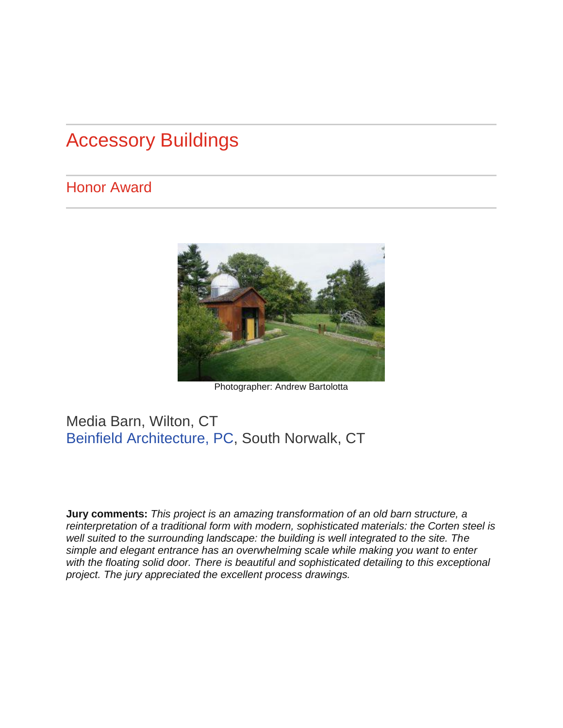# Accessory Buildings

#### Honor Award



Photographer: Andrew Bartolotta

#### Media Barn, Wilton, CT [Beinfield Architecture, PC,](http://www.beinfield.com/) South Norwalk, CT

**Jury comments:** *This project is an amazing transformation of an old barn structure, a reinterpretation of a traditional form with modern, sophisticated materials: the Corten steel is well suited to the surrounding landscape: the building is well integrated to the site. The simple and elegant entrance has an overwhelming scale while making you want to enter*  with the floating solid door. There is beautiful and sophisticated detailing to this exceptional *project. The jury appreciated the excellent process drawings.*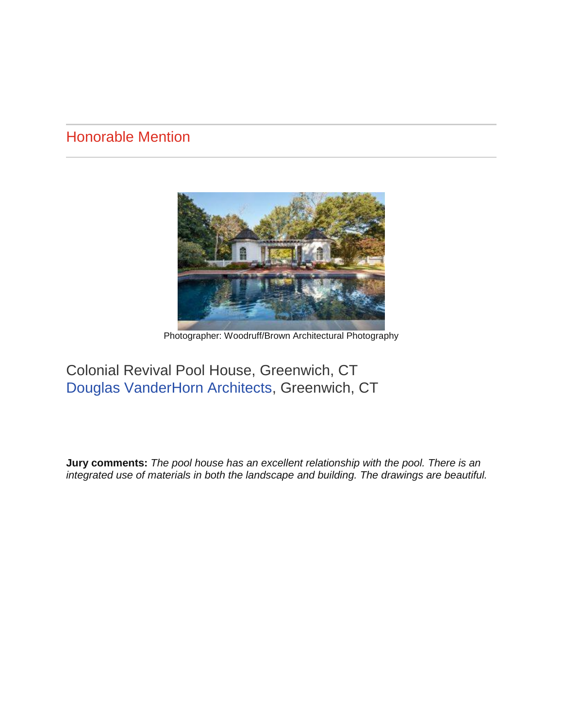#### Honorable Mention



Photographer: Woodruff/Brown Architectural Photography

#### Colonial Revival Pool House, Greenwich, CT [Douglas VanderHorn Architects,](http://www.vanderhornarchitects.com/) Greenwich, CT

**Jury comments:** *The pool house has an excellent relationship with the pool. There is an integrated use of materials in both the landscape and building. The drawings are beautiful.*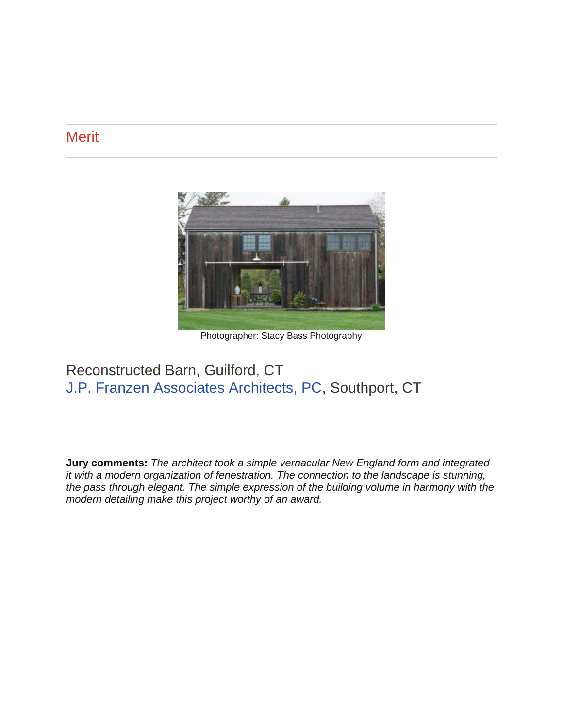#### **Merit**



Photographer: Stacy Bass Photography

#### Reconstructed Barn, Guilford, CT [J.P. Franzen Associates Architects, PC,](http://www.franzenarchitects.com/) Southport, CT

**Jury comments:** *The architect took a simple vernacular New England form and integrated it with a modern organization of fenestration. The connection to the landscape is stunning, the pass through elegant. The simple expression of the building volume in harmony with the modern detailing make this project worthy of an award.*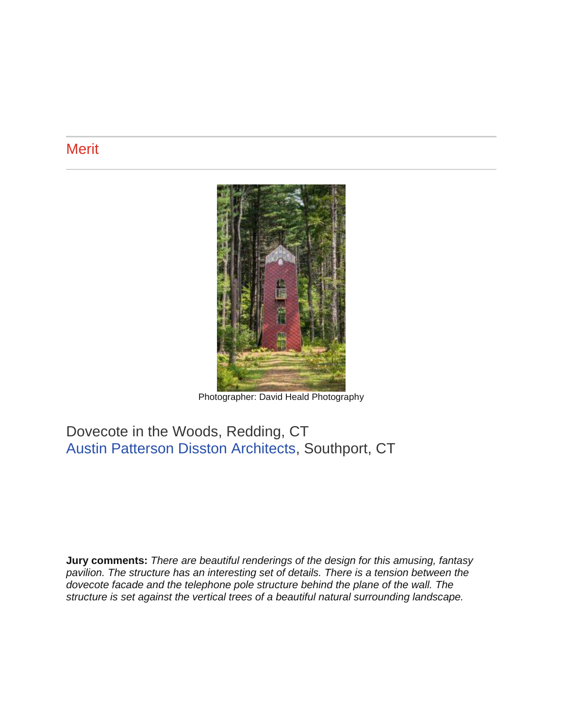#### **Merit**



Photographer: David Heald Photography

#### Dovecote in the Woods, Redding, CT [Austin Patterson Disston Architects,](http://www.apdarchitects.com/) Southport, CT

**Jury comments:** *There are beautiful renderings of the design for this amusing, fantasy pavilion. The structure has an interesting set of details. There is a tension between the dovecote facade and the telephone pole structure behind the plane of the wall. The structure is set against the vertical trees of a beautiful natural surrounding landscape.*